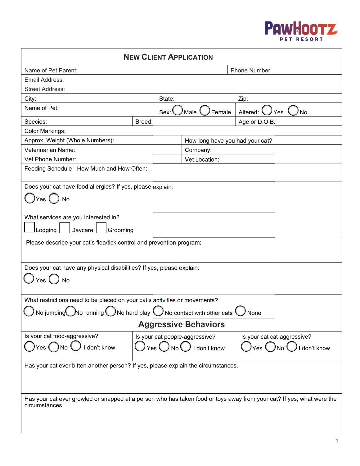

| <b>NEW CLIENT APPLICATION</b>                                                                                                                           |               |                                 |                                                   |                                   |  |  |
|---------------------------------------------------------------------------------------------------------------------------------------------------------|---------------|---------------------------------|---------------------------------------------------|-----------------------------------|--|--|
| Name of Pet Parent:                                                                                                                                     | Phone Number: |                                 |                                                   |                                   |  |  |
| Email Address:                                                                                                                                          |               |                                 |                                                   |                                   |  |  |
| <b>Street Address:</b>                                                                                                                                  |               |                                 |                                                   |                                   |  |  |
| City:                                                                                                                                                   |               | State:                          |                                                   | Zip:                              |  |  |
| Name of Pet:                                                                                                                                            |               | Sex:<br>Female<br>Male          |                                                   | Altered:<br>Yes<br>No             |  |  |
| Species:                                                                                                                                                | Breed:        |                                 |                                                   | Age or D.O.B.:                    |  |  |
| Color Markings:                                                                                                                                         |               |                                 |                                                   |                                   |  |  |
| Approx. Weight (Whole Numbers):                                                                                                                         |               | How long have you had your cat? |                                                   |                                   |  |  |
| Veterinarian Name:                                                                                                                                      |               | Company:                        |                                                   |                                   |  |  |
| Vet Phone Number:                                                                                                                                       |               | <b>Vet Location:</b>            |                                                   |                                   |  |  |
| Feeding Schedule - How Much and How Often:                                                                                                              |               |                                 |                                                   |                                   |  |  |
| Does your cat have food allergies? If yes, please explain:                                                                                              |               |                                 |                                                   |                                   |  |  |
| No<br>Yes                                                                                                                                               |               |                                 |                                                   |                                   |  |  |
|                                                                                                                                                         |               |                                 |                                                   |                                   |  |  |
| What services are you interested in?                                                                                                                    |               |                                 |                                                   |                                   |  |  |
|                                                                                                                                                         |               |                                 |                                                   |                                   |  |  |
| Daycare<br>Lodging<br>Grooming                                                                                                                          |               |                                 |                                                   |                                   |  |  |
| Please describe your cat's flea/tick control and prevention program:                                                                                    |               |                                 |                                                   |                                   |  |  |
| Does your cat have any physical disabilities? If yes, please explain:                                                                                   |               |                                 |                                                   |                                   |  |  |
|                                                                                                                                                         |               |                                 |                                                   |                                   |  |  |
| <b>No</b><br>Yes                                                                                                                                        |               |                                 |                                                   |                                   |  |  |
| What restrictions need to be placed on your cat's activities or movements?                                                                              |               |                                 |                                                   |                                   |  |  |
|                                                                                                                                                         |               |                                 |                                                   |                                   |  |  |
| $\bigcup$ No jumping $\bigcirc$ No running $\bigcirc$ No hard play $\bigcirc$ No contact with other cats $\bigcirc$ None<br><b>Aggressive Behaviors</b> |               |                                 |                                                   |                                   |  |  |
|                                                                                                                                                         |               |                                 |                                                   |                                   |  |  |
| Is your cat food-aggressive?                                                                                                                            |               |                                 | Is your cat people-aggressive?                    | Is your cat cat-aggressive?       |  |  |
| Yes $\bigcirc$ No $\bigcirc$<br>I don't know                                                                                                            |               |                                 | $\forall$ Yes $\bigcup$ No $\bigcup$ I don't know | $)$ Yes $()$ No $()$ I don't know |  |  |
|                                                                                                                                                         |               |                                 |                                                   |                                   |  |  |
| Has your cat ever bitten another person? If yes, please explain the circumstances.                                                                      |               |                                 |                                                   |                                   |  |  |
|                                                                                                                                                         |               |                                 |                                                   |                                   |  |  |
|                                                                                                                                                         |               |                                 |                                                   |                                   |  |  |
| Has your cat ever growled or snapped at a person who has taken food or toys away from your cat? If yes, what were the<br>circumstances.                 |               |                                 |                                                   |                                   |  |  |
|                                                                                                                                                         |               |                                 |                                                   |                                   |  |  |
|                                                                                                                                                         |               |                                 |                                                   |                                   |  |  |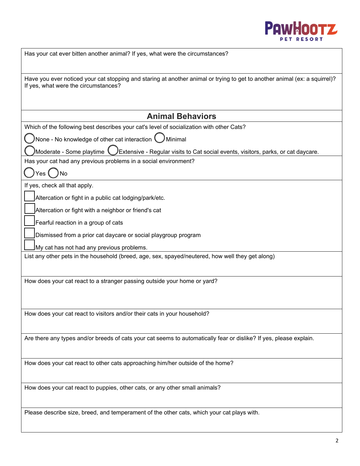

| Has your cat ever bitten another animal? If yes, what were the circumstances?                                                                                      |
|--------------------------------------------------------------------------------------------------------------------------------------------------------------------|
| Have you ever noticed your cat stopping and staring at another animal or trying to get to another animal (ex: a squirrel)?<br>If yes, what were the circumstances? |
| <b>Animal Behaviors</b>                                                                                                                                            |
| Which of the following best describes your cat's level of socialization with other Cats?                                                                           |
| None - No knowledge of other cat interaction $\bigcirc$<br>Minimal                                                                                                 |
| Moderate - Some playtime <b>(</b>                                                                                                                                  |
| $\cal J$ Extensive - Regular visits to Cat social events, visitors, parks, or cat daycare.<br>Has your cat had any previous problems in a social environment?      |
|                                                                                                                                                                    |
| If yes, check all that apply.                                                                                                                                      |
| Altercation or fight in a public cat lodging/park/etc.                                                                                                             |
| Altercation or fight with a neighbor or friend's cat                                                                                                               |
| Fearful reaction in a group of cats                                                                                                                                |
| Dismissed from a prior cat daycare or social playgroup program                                                                                                     |
| My cat has not had any previous problems.                                                                                                                          |
| List any other pets in the household (breed, age, sex, spayed/neutered, how well they get along)                                                                   |
|                                                                                                                                                                    |
| How does your cat react to a stranger passing outside your home or yard?                                                                                           |
|                                                                                                                                                                    |
|                                                                                                                                                                    |
| How does your cat react to visitors and/or their cats in your household?                                                                                           |
|                                                                                                                                                                    |
| Are there any types and/or breeds of cats your cat seems to automatically fear or dislike? If yes, please explain.                                                 |
|                                                                                                                                                                    |
| How does your cat react to other cats approaching him/her outside of the home?                                                                                     |
|                                                                                                                                                                    |
| How does your cat react to puppies, other cats, or any other small animals?                                                                                        |
|                                                                                                                                                                    |
| Please describe size, breed, and temperament of the other cats, which your cat plays with.                                                                         |
|                                                                                                                                                                    |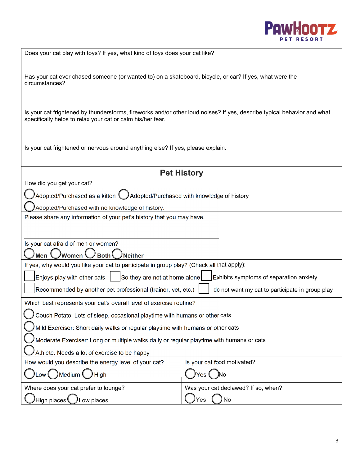

| Does your cat play with toys? If yes, what kind of toys does your cat like?                                                                                                           |                                     |  |  |  |  |
|---------------------------------------------------------------------------------------------------------------------------------------------------------------------------------------|-------------------------------------|--|--|--|--|
|                                                                                                                                                                                       |                                     |  |  |  |  |
| Has your cat ever chased someone (or wanted to) on a skateboard, bicycle, or car? If yes, what were the<br>circumstances?                                                             |                                     |  |  |  |  |
|                                                                                                                                                                                       |                                     |  |  |  |  |
| Is your cat frightened by thunderstorms, fireworks and/or other loud noises? If yes, describe typical behavior and what<br>specifically helps to relax your cat or calm his/her fear. |                                     |  |  |  |  |
| Is your cat frightened or nervous around anything else? If yes, please explain.                                                                                                       |                                     |  |  |  |  |
|                                                                                                                                                                                       |                                     |  |  |  |  |
| <b>Pet History</b>                                                                                                                                                                    |                                     |  |  |  |  |
| How did you get your cat?                                                                                                                                                             |                                     |  |  |  |  |
| Adopted/Purchased as a kitten U Adopted/Purchased with knowledge of history                                                                                                           |                                     |  |  |  |  |
| Adopted/Purchased with no knowledge of history.                                                                                                                                       |                                     |  |  |  |  |
| Please share any information of your pet's history that you may have.                                                                                                                 |                                     |  |  |  |  |
|                                                                                                                                                                                       |                                     |  |  |  |  |
| Is your cat afraid of men or women?                                                                                                                                                   |                                     |  |  |  |  |
| Women <sup>(</sup><br><b>/Neither</b><br>Men <b>\</b><br>Both \                                                                                                                       |                                     |  |  |  |  |
| If yes, why would you like your cat to participate in group play? (Check all that apply):                                                                                             |                                     |  |  |  |  |
| Enjoys play with other cats<br>So they are not at home alone<br>Exhibits symptoms of separation anxiety                                                                               |                                     |  |  |  |  |
| Recommended by another pet professional (trainer, vet, etc.)<br>do not want my cat to participate in group play                                                                       |                                     |  |  |  |  |
| Which best represents your cat's overall level of exercise routine?                                                                                                                   |                                     |  |  |  |  |
| Couch Potato: Lots of sleep, occasional playtime with humans or other cats                                                                                                            |                                     |  |  |  |  |
| Mild Exerciser: Short daily walks or regular playtime with humans or other cats                                                                                                       |                                     |  |  |  |  |
| Moderate Exerciser: Long or multiple walks daily or regular playtime with humans or cats                                                                                              |                                     |  |  |  |  |
| Athlete: Needs a lot of exercise to be happy                                                                                                                                          |                                     |  |  |  |  |
| How would you describe the energy level of your cat?                                                                                                                                  | Is your cat food motivated?         |  |  |  |  |
| )Medium <b>(</b><br>High<br>Low                                                                                                                                                       | <b>JNo</b><br>Yes                   |  |  |  |  |
| Where does your cat prefer to lounge?                                                                                                                                                 | Was your cat declawed? If so, when? |  |  |  |  |
| High places <b>(</b><br>Low places                                                                                                                                                    | No<br>Yes                           |  |  |  |  |